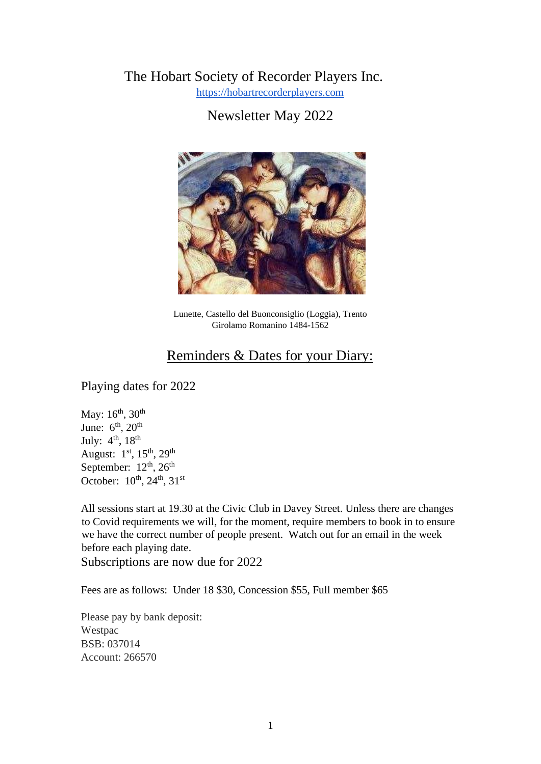# The Hobart Society of Recorder Players Inc.

https://hobartrecorderplayers.com

Newsletter May 2022



Lunette, Castello del Buonconsiglio (Loggia), Trento Girolamo Romanino 1484-1562

# Reminders & Dates for your Diary:

Playing dates for 2022

May:  $16^{th}$ ,  $30^{th}$ June:  $6<sup>th</sup>$ ,  $20<sup>th</sup>$ July:  $4<sup>th</sup>$ ,  $18<sup>th</sup>$ August:  $1<sup>st</sup>$ ,  $15<sup>th</sup>$ ,  $29<sup>th</sup>$ September:  $12<sup>th</sup>$ ,  $26<sup>th</sup>$ October:  $10^{th}$ ,  $24^{th}$ ,  $31^{st}$ 

All sessions start at 19.30 at the Civic Club in Davey Street. Unless there are changes to Covid requirements we will, for the moment, require members to book in to ensure we have the correct number of people present. Watch out for an email in the week before each playing date.

Subscriptions are now due for 2022

Fees are as follows: Under 18 \$30, Concession \$55, Full member \$65

Please pay by bank deposit: Westpac BSB: 037014 Account: 266570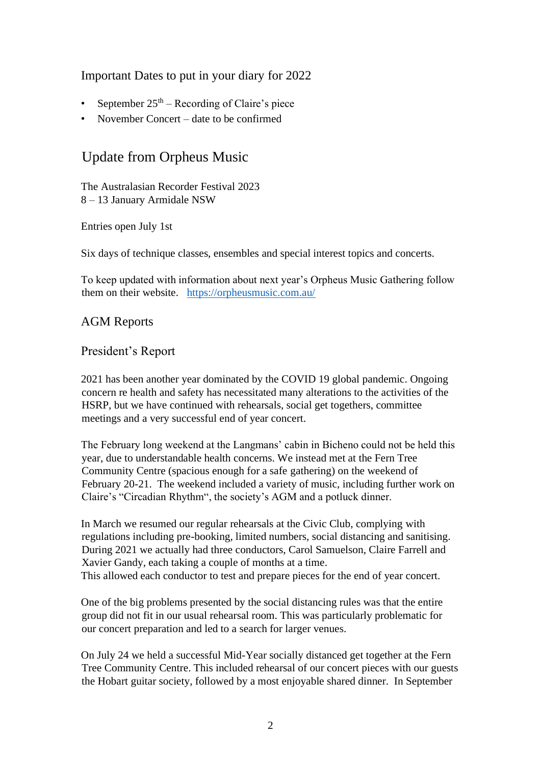### Important Dates to put in your diary for 2022

- September  $25<sup>th</sup>$  Recording of Claire's piece
- November Concert date to be confirmed

# Update from Orpheus Music

The Australasian Recorder Festival 2023 8 – 13 January Armidale NSW

Entries open July 1st

Six days of technique classes, ensembles and special interest topics and concerts.

To keep updated with information about next year's Orpheus Music Gathering follow them on their website. https://orpheusmusic.com.au/

### AGM Reports

### President's Report

2021 has been another year dominated by the COVID 19 global pandemic. Ongoing concern re health and safety has necessitated many alterations to the activities of the HSRP, but we have continued with rehearsals, social get togethers, committee meetings and a very successful end of year concert.

The February long weekend at the Langmans' cabin in Bicheno could not be held this year, due to understandable health concerns. We instead met at the Fern Tree Community Centre (spacious enough for a safe gathering) on the weekend of February 20-21. The weekend included a variety of music, including further work on Claire's "Circadian Rhythm", the society's AGM and a potluck dinner.

In March we resumed our regular rehearsals at the Civic Club, complying with regulations including pre-booking, limited numbers, social distancing and sanitising. During 2021 we actually had three conductors, Carol Samuelson, Claire Farrell and Xavier Gandy, each taking a couple of months at a time. This allowed each conductor to test and prepare pieces for the end of year concert.

One of the big problems presented by the social distancing rules was that the entire group did not fit in our usual rehearsal room. This was particularly problematic for our concert preparation and led to a search for larger venues.

On July 24 we held a successful Mid-Year socially distanced get together at the Fern Tree Community Centre. This included rehearsal of our concert pieces with our guests the Hobart guitar society, followed by a most enjoyable shared dinner. In September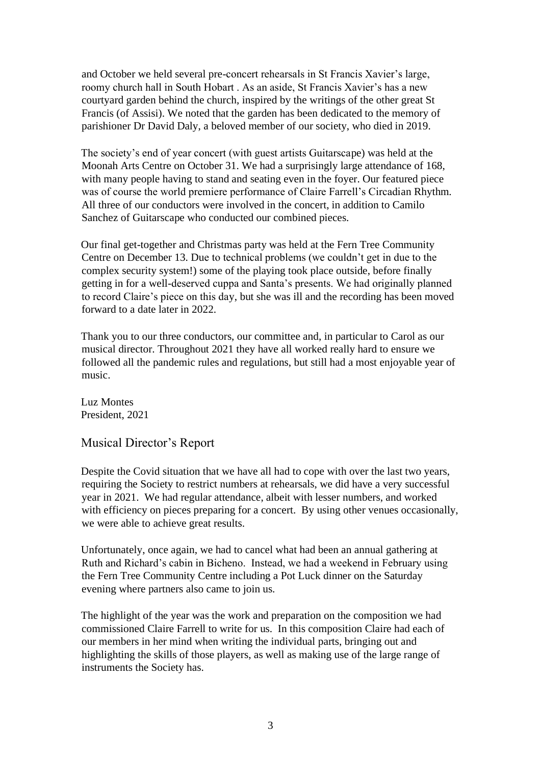and October we held several pre-concert rehearsals in St Francis Xavier's large, roomy church hall in South Hobart . As an aside, St Francis Xavier's has a new courtyard garden behind the church, inspired by the writings of the other great St Francis (of Assisi). We noted that the garden has been dedicated to the memory of parishioner Dr David Daly, a beloved member of our society, who died in 2019.

The society's end of year concert (with guest artists Guitarscape) was held at the Moonah Arts Centre on October 31. We had a surprisingly large attendance of 168, with many people having to stand and seating even in the foyer. Our featured piece was of course the world premiere performance of Claire Farrell's Circadian Rhythm. All three of our conductors were involved in the concert, in addition to Camilo Sanchez of Guitarscape who conducted our combined pieces.

Our final get-together and Christmas party was held at the Fern Tree Community Centre on December 13. Due to technical problems (we couldn't get in due to the complex security system!) some of the playing took place outside, before finally getting in for a well-deserved cuppa and Santa's presents. We had originally planned to record Claire's piece on this day, but she was ill and the recording has been moved forward to a date later in 2022.

Thank you to our three conductors, our committee and, in particular to Carol as our musical director. Throughout 2021 they have all worked really hard to ensure we followed all the pandemic rules and regulations, but still had a most enjoyable year of music.

Luz Montes President, 2021

Musical Director's Report

Despite the Covid situation that we have all had to cope with over the last two years, requiring the Society to restrict numbers at rehearsals, we did have a very successful year in 2021. We had regular attendance, albeit with lesser numbers, and worked with efficiency on pieces preparing for a concert. By using other venues occasionally, we were able to achieve great results.

Unfortunately, once again, we had to cancel what had been an annual gathering at Ruth and Richard's cabin in Bicheno. Instead, we had a weekend in February using the Fern Tree Community Centre including a Pot Luck dinner on the Saturday evening where partners also came to join us.

The highlight of the year was the work and preparation on the composition we had commissioned Claire Farrell to write for us. In this composition Claire had each of our members in her mind when writing the individual parts, bringing out and highlighting the skills of those players, as well as making use of the large range of instruments the Society has.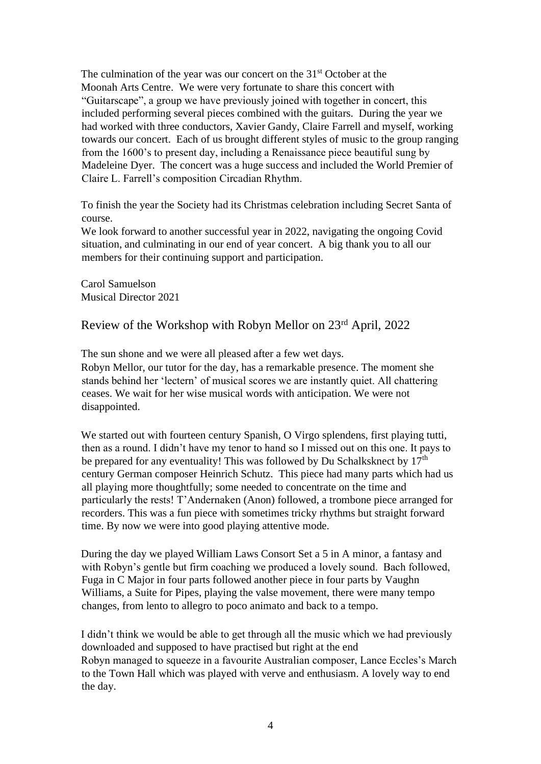The culmination of the year was our concert on the 31<sup>st</sup> October at the Moonah Arts Centre. We were very fortunate to share this concert with "Guitarscape", a group we have previously joined with together in concert, this included performing several pieces combined with the guitars. During the year we had worked with three conductors, Xavier Gandy, Claire Farrell and myself, working towards our concert. Each of us brought different styles of music to the group ranging from the 1600's to present day, including a Renaissance piece beautiful sung by Madeleine Dyer. The concert was a huge success and included the World Premier of Claire L. Farrell's composition Circadian Rhythm.

To finish the year the Society had its Christmas celebration including Secret Santa of course.

We look forward to another successful year in 2022, navigating the ongoing Covid situation, and culminating in our end of year concert. A big thank you to all our members for their continuing support and participation.

Carol Samuelson Musical Director 2021

## Review of the Workshop with Robyn Mellor on 23rd April, 2022

The sun shone and we were all pleased after a few wet days.

Robyn Mellor, our tutor for the day, has a remarkable presence. The moment she stands behind her 'lectern' of musical scores we are instantly quiet. All chattering ceases. We wait for her wise musical words with anticipation. We were not disappointed.

We started out with fourteen century Spanish, O Virgo splendens, first playing tutti, then as a round. I didn't have my tenor to hand so I missed out on this one. It pays to be prepared for any eventuality! This was followed by Du Schalksknect by  $17<sup>th</sup>$ century German composer Heinrich Schutz. This piece had many parts which had us all playing more thoughtfully; some needed to concentrate on the time and particularly the rests! T'Andernaken (Anon) followed, a trombone piece arranged for recorders. This was a fun piece with sometimes tricky rhythms but straight forward time. By now we were into good playing attentive mode.

During the day we played William Laws Consort Set a 5 in A minor, a fantasy and with Robyn's gentle but firm coaching we produced a lovely sound. Bach followed, Fuga in C Major in four parts followed another piece in four parts by Vaughn Williams, a Suite for Pipes, playing the valse movement, there were many tempo changes, from lento to allegro to poco animato and back to a tempo.

I didn't think we would be able to get through all the music which we had previously downloaded and supposed to have practised but right at the end Robyn managed to squeeze in a favourite Australian composer, Lance Eccles's March to the Town Hall which was played with verve and enthusiasm. A lovely way to end the day.